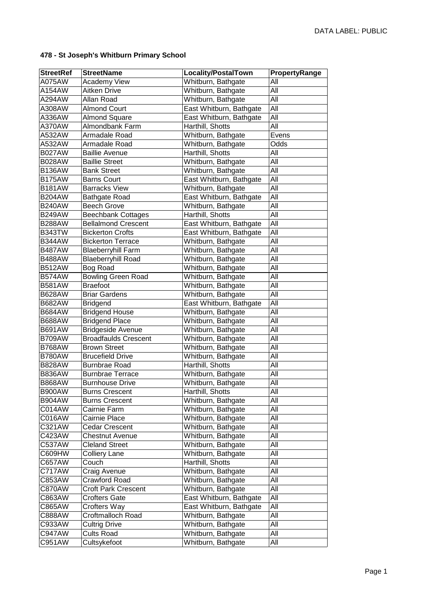| <b>StreetRef</b> | <b>StreetName</b>           | <b>Locality/PostalTown</b> | PropertyRange |
|------------------|-----------------------------|----------------------------|---------------|
| A075AW           | <b>Academy View</b>         | Whitburn, Bathgate         | All           |
| A154AW           | <b>Aitken Drive</b>         | Whitburn, Bathgate         | All           |
| A294AW           | Allan Road                  | Whitburn, Bathgate         | All           |
| A308AW           | <b>Almond Court</b>         | East Whitburn, Bathgate    | All           |
| A336AW           | <b>Almond Square</b>        | East Whitburn, Bathgate    | All           |
| A370AW           | Almondbank Farm             | Harthill, Shotts           | All           |
| A532AW           | Armadale Road               | Whitburn, Bathgate         | Evens         |
| A532AW           | Armadale Road               | Whitburn, Bathgate         | Odds          |
| <b>B027AW</b>    | <b>Baillie Avenue</b>       | Harthill, Shotts           | All           |
| <b>B028AW</b>    | <b>Baillie Street</b>       | Whitburn, Bathgate         | All           |
| <b>B136AW</b>    | <b>Bank Street</b>          | Whitburn, Bathgate         | All           |
| <b>B175AW</b>    | <b>Barns Court</b>          | East Whitburn, Bathgate    | All           |
| <b>B181AW</b>    | <b>Barracks View</b>        | Whitburn, Bathgate         | All           |
| <b>B204AW</b>    | <b>Bathgate Road</b>        | East Whitburn, Bathgate    | All           |
| <b>B240AW</b>    | <b>Beech Grove</b>          | Whitburn, Bathgate         | All           |
| <b>B249AW</b>    | <b>Beechbank Cottages</b>   | Harthill, Shotts           | All           |
| <b>B288AW</b>    | <b>Bellalmond Crescent</b>  | East Whitburn, Bathgate    | All           |
| <b>B343TW</b>    | <b>Bickerton Crofts</b>     | East Whitburn, Bathgate    | All           |
| <b>B344AW</b>    | <b>Bickerton Terrace</b>    | Whitburn, Bathgate         | All           |
| <b>B487AW</b>    | <b>Blaeberryhill Farm</b>   | Whitburn, Bathgate         | All           |
| <b>B488AW</b>    | <b>Blaeberryhill Road</b>   | Whitburn, Bathgate         | All           |
| <b>B512AW</b>    | <b>Bog Road</b>             | Whitburn, Bathgate         | All           |
| <b>B574AW</b>    | <b>Bowling Green Road</b>   | Whitburn, Bathgate         | All           |
| <b>B581AW</b>    | <b>Braefoot</b>             | Whitburn, Bathgate         | All           |
| <b>B628AW</b>    | <b>Briar Gardens</b>        | Whitburn, Bathgate         | All           |
| <b>B682AW</b>    | <b>Bridgend</b>             | East Whitburn, Bathgate    | All           |
| <b>B684AW</b>    | <b>Bridgend House</b>       | Whitburn, Bathgate         | All           |
| <b>B688AW</b>    | <b>Bridgend Place</b>       | Whitburn, Bathgate         | All           |
| <b>B691AW</b>    | <b>Bridgeside Avenue</b>    | Whitburn, Bathgate         | All           |
| <b>B709AW</b>    | <b>Broadfaulds Crescent</b> | Whitburn, Bathgate         | All           |
| <b>B768AW</b>    | <b>Brown Street</b>         | Whitburn, Bathgate         | All           |
| <b>B780AW</b>    | <b>Brucefield Drive</b>     | Whitburn, Bathgate         | All           |
| <b>B828AW</b>    | <b>Burnbrae Road</b>        | Harthill, Shotts           | All           |
| <b>B836AW</b>    | <b>Burnbrae Terrace</b>     | Whitburn, Bathgate         | All           |
| <b>B868AW</b>    | <b>Burnhouse Drive</b>      | Whitburn, Bathgate         | All           |
| <b>B900AW</b>    | <b>Burns Crescent</b>       | Harthill, Shotts           | All           |
| <b>B904AW</b>    | <b>Burns Crescent</b>       | Whitburn, Bathgate         | All           |
| C014AW           | Cairnie Farm                | Whitburn, Bathgate         | All           |
| C016AW           | Cairnie Place               | Whitburn, Bathgate         | All           |
| C321AW           | <b>Cedar Crescent</b>       | Whitburn, Bathgate         | All           |
| C423AW           | <b>Chestnut Avenue</b>      | Whitburn, Bathgate         | All           |
| C537AVV          | <b>Cleland Street</b>       | Whitburn, Bathgate         | All           |
| C609HW           | <b>Colliery Lane</b>        | Whitburn, Bathgate         | All           |
| C657AW           | Couch                       | Harthill, Shotts           | All           |
| C717AW           | Craig Avenue                | Whitburn, Bathgate         | All           |
| C853AW           | Crawford Road               | Whitburn, Bathgate         | All           |
| <b>C870AW</b>    | <b>Croft Park Crescent</b>  | Whitburn, Bathgate         | All           |
| C863AW           | <b>Crofters Gate</b>        | East Whitburn, Bathgate    | All           |
| C865AW           | Crofters Way                | East Whitburn, Bathgate    | All           |
| C888AW           | <b>Croftmalloch Road</b>    | Whitburn, Bathgate         | All           |
| C933AW           | <b>Cultrig Drive</b>        | Whitburn, Bathgate         | All           |
| C947AW           | <b>Cults Road</b>           | Whitburn, Bathgate         | All           |
| C951AW           | Cultsykefoot                | Whitburn, Bathgate         | All           |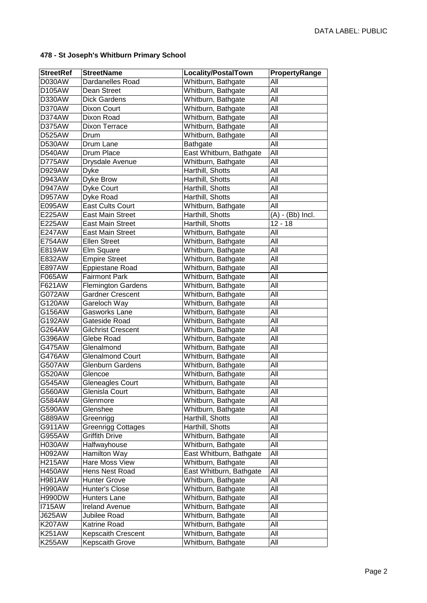| <b>StreetRef</b> | <b>StreetName</b>         | Locality/PostalTown     | PropertyRange      |
|------------------|---------------------------|-------------------------|--------------------|
| D030AW           | Dardanelles Road          | Whitburn, Bathgate      | All                |
| D105AW           | Dean Street               | Whitburn, Bathgate      | All                |
| D330AW           | <b>Dick Gardens</b>       | Whitburn, Bathgate      | All                |
| D370AW           | Dixon Court               | Whitburn, Bathgate      | All                |
| D374AW           | Dixon Road                | Whitburn, Bathgate      | All                |
| D375AW           | <b>Dixon Terrace</b>      | Whitburn, Bathgate      | All                |
| D525AW           | Drum                      | Whitburn, Bathgate      | All                |
| <b>D530AW</b>    | Drum Lane                 | <b>Bathgate</b>         | $\overline{All}$   |
| <b>D540AW</b>    | Drum Place                | East Whitburn, Bathgate | All                |
| D775AW           | Drysdale Avenue           | Whitburn, Bathgate      | All                |
| D929AW           | <b>Dyke</b>               | Harthill, Shotts        | All                |
| D943AW           | Dyke Brow                 | Harthill, Shotts        | All                |
| <b>D947AW</b>    | Dyke Court                | Harthill, Shotts        | All                |
| <b>D957AW</b>    | Dyke Road                 | Harthill, Shotts        | All                |
| E095AW           | <b>East Cults Court</b>   | Whitburn, Bathgate      | All                |
| E225AW           | <b>East Main Street</b>   | Harthill, Shotts        | $(A) - (Bb)$ Incl. |
| E225AW           | <b>East Main Street</b>   | Harthill, Shotts        | $12 - 18$          |
| <b>E247AW</b>    | <b>East Main Street</b>   | Whitburn, Bathgate      | All                |
| E754AW           | <b>Ellen Street</b>       | Whitburn, Bathgate      | All                |
| E819AW           | Elm Square                | Whitburn, Bathgate      | All                |
| E832AW           | <b>Empire Street</b>      | Whitburn, Bathgate      | All                |
| E897AW           | Eppiestane Road           | Whitburn, Bathgate      | All                |
| F065AW           | <b>Fairmont Park</b>      | Whitburn, Bathgate      | All                |
| F621AW           | <b>Flemington Gardens</b> | Whitburn, Bathgate      | All                |
| G072AW           | <b>Gardner Crescent</b>   | Whitburn, Bathgate      | All                |
| G120AW           | Gareloch Way              | Whitburn, Bathgate      | All                |
| G156AW           | Gasworks Lane             | Whitburn, Bathgate      | All                |
| G192AW           | Gateside Road             | Whitburn, Bathgate      | All                |
| G264AW           | <b>Gilchrist Crescent</b> | Whitburn, Bathgate      | All                |
| G396AW           | Glebe Road                | Whitburn, Bathgate      | All                |
| G475AW           | Glenalmond                | Whitburn, Bathgate      | All                |
| G476AW           | <b>Glenalmond Court</b>   | Whitburn, Bathgate      | All                |
| G507AW           | Glenburn Gardens          | Whitburn, Bathgate      | All                |
| G520AW           | Glencoe                   | Whitburn, Bathgate      | All                |
| G545AW           | <b>Gleneagles Court</b>   | Whitburn, Bathgate      | All                |
| G560AW           | Glenisla Court            | Whitburn, Bathgate      | All                |
| G584AW           | Glenmore                  | Whitburn, Bathgate      | All                |
| G590AW           | Glenshee                  | Whitburn, Bathgate      | All                |
| G889AW           | Greenrigg                 | Harthill, Shotts        | All                |
| G911AW           | <b>Greenrigg Cottages</b> | Harthill, Shotts        | All                |
| G955AW           | <b>Griffith Drive</b>     | Whitburn, Bathgate      | All                |
| <b>H030AW</b>    | Halfwayhouse              | Whitburn, Bathgate      | All                |
| <b>H092AW</b>    | Hamilton Way              | East Whitburn, Bathgate | All                |
| <b>H215AW</b>    | Hare Moss View            | Whitburn, Bathgate      | All                |
| <b>H450AW</b>    | Hens Nest Road            | East Whitburn, Bathgate | All                |
| <b>H981AW</b>    | <b>Hunter Grove</b>       | Whitburn, Bathgate      | All                |
| <b>H990AW</b>    | Hunter's Close            | Whitburn, Bathgate      | All                |
| <b>H990DW</b>    | Hunters Lane              | Whitburn, Bathgate      | All                |
| <b>I715AW</b>    | <b>Ireland Avenue</b>     | Whitburn, Bathgate      | All                |
| <b>J625AW</b>    | Jubilee Road              | Whitburn, Bathgate      | All                |
| <b>K207AW</b>    | Katrine Road              | Whitburn, Bathgate      | All                |
| <b>K251AW</b>    | <b>Kepscaith Crescent</b> | Whitburn, Bathgate      | All                |
| <b>K255AW</b>    | Kepscaith Grove           | Whitburn, Bathgate      | All                |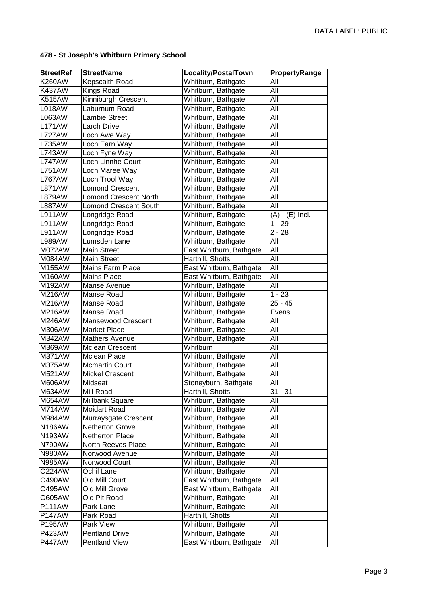| <b>StreetRef</b> | <b>StreetName</b>            | Locality/PostalTown     | PropertyRange     |
|------------------|------------------------------|-------------------------|-------------------|
| <b>K260AW</b>    | Kepscaith Road               | Whitburn, Bathgate      | All               |
| <b>K437AW</b>    | <b>Kings Road</b>            | Whitburn, Bathgate      | All               |
| <b>K515AW</b>    | Kinniburgh Crescent          | Whitburn, Bathgate      | All               |
| <b>L018AW</b>    | Laburnum Road                | Whitburn, Bathgate      | All               |
| L063AW           | <b>Lambie Street</b>         | Whitburn, Bathgate      | All               |
| <b>L171AW</b>    | <b>Larch Drive</b>           | Whitburn, Bathgate      | All               |
| <b>L727AW</b>    | Loch Awe Way                 | Whitburn, Bathgate      | All               |
| <b>L735AW</b>    | Loch Earn Way                | Whitburn, Bathgate      | All               |
| <b>L743AW</b>    | Loch Fyne Way                | Whitburn, Bathgate      | All               |
| <b>L747AW</b>    | Loch Linnhe Court            | Whitburn, Bathgate      | All               |
| <b>L751AW</b>    | Loch Maree Way               | Whitburn, Bathgate      | All               |
| <b>L767AW</b>    | Loch Trool Way               | Whitburn, Bathgate      | All               |
| <b>L871AW</b>    | <b>Lomond Crescent</b>       | Whitburn, Bathgate      | All               |
| <b>L879AW</b>    | <b>Lomond Crescent North</b> | Whitburn, Bathgate      | All               |
| <b>L887AW</b>    | <b>Lomond Crescent South</b> | Whitburn, Bathgate      | All               |
| <b>L911AW</b>    | Longridge Road               | Whitburn, Bathgate      | $(A) - (E)$ Incl. |
| <b>L911AW</b>    | Longridge Road               | Whitburn, Bathgate      | $1 - 29$          |
| <b>L911AW</b>    | Longridge Road               | Whitburn, Bathgate      | $2 - 28$          |
| <b>L989AW</b>    | Lumsden Lane                 | Whitburn, Bathgate      | All               |
| M072AW           | <b>Main Street</b>           | East Whitburn, Bathgate | All               |
| M084AW           | <b>Main Street</b>           | Harthill, Shotts        | All               |
| M155AW           | Mains Farm Place             | East Whitburn, Bathgate | All               |
| M160AW           | <b>Mains Place</b>           | East Whitburn, Bathgate | All               |
| M192AW           | Manse Avenue                 | Whitburn, Bathgate      | All               |
| M216AW           | Manse Road                   | Whitburn, Bathgate      | $1 - 23$          |
| M216AW           | Manse Road                   | Whitburn, Bathgate      | $25 - 45$         |
| M216AW           | Manse Road                   | Whitburn, Bathgate      | Evens             |
| M246AW           | <b>Mansewood Crescent</b>    | Whitburn, Bathgate      | All               |
| <b>M306AW</b>    | <b>Market Place</b>          | Whitburn, Bathgate      | All               |
| <b>M342AW</b>    | <b>Mathers Avenue</b>        | Whitburn, Bathgate      | All               |
| M369AW           | Mclean Crescent              | Whitburn                | All               |
| M371AW           | Mclean Place                 | Whitburn, Bathgate      | All               |
| <b>M375AW</b>    | Mcmartin Court               | Whitburn, Bathgate      | All               |
| M521AW           | <b>Mickel Crescent</b>       | Whitburn, Bathgate      | $AI\bar{I}$       |
| <b>M606AW</b>    | Midseat                      | Stoneyburn, Bathgate    | All               |
| M634AW           | Mill Road                    | Harthill, Shotts        | $31 - 31$         |
| <b>M654AW</b>    | Millbank Square              | Whitburn, Bathgate      | All               |
| M714AW           | <b>Moidart Road</b>          | Whitburn, Bathgate      | All               |
| M984AW           | Murraysgate Crescent         | Whitburn, Bathgate      | All               |
| <b>N186AW</b>    | Netherton Grove              | Whitburn, Bathgate      | All               |
| <b>N193AW</b>    | <b>Netherton Place</b>       | Whitburn, Bathgate      | All               |
| N790AW           | North Reeves Place           | Whitburn, Bathgate      | All               |
| <b>N980AW</b>    | Norwood Avenue               | Whitburn, Bathgate      | All               |
| <b>N985AW</b>    | Norwood Court                | Whitburn, Bathgate      | All               |
| O224AW           | Ochil Lane                   | Whitburn, Bathgate      | All               |
| O490AW           | Old Mill Court               | East Whitburn, Bathgate | All               |
| O495AW           | Old Mill Grove               | East Whitburn, Bathgate | All               |
| O605AW           | Old Pit Road                 | Whitburn, Bathgate      | All               |
| <b>P111AW</b>    | Park Lane                    | Whitburn, Bathgate      | All               |
| <b>P147AW</b>    | Park Road                    | Harthill, Shotts        | All               |
| P195AW           | Park View                    | Whitburn, Bathgate      | All               |
| <b>P423AW</b>    | <b>Pentland Drive</b>        | Whitburn, Bathgate      | All               |
| <b>P447AW</b>    | Pentland View                | East Whitburn, Bathgate | All               |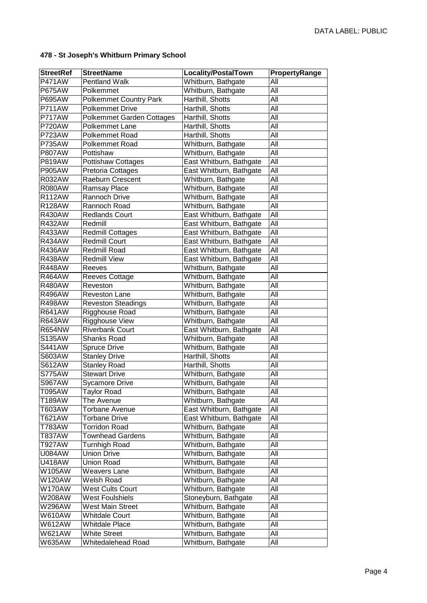| <b>StreetRef</b> | <b>StreetName</b>                | <b>Locality/PostalTown</b> | PropertyRange |
|------------------|----------------------------------|----------------------------|---------------|
| <b>P471AW</b>    | <b>Pentland Walk</b>             | Whitburn, Bathgate         | All           |
| <b>P675AW</b>    | Polkemmet                        | Whitburn, Bathgate         | All           |
| P695AW           | <b>Polkemmet Country Park</b>    | Harthill, Shotts           | All           |
| <b>P711AW</b>    | <b>Polkemmet Drive</b>           | Harthill, Shotts           | All           |
| <b>P717AW</b>    | <b>Polkemmet Garden Cottages</b> | Harthill, Shotts           | All           |
| <b>P720AW</b>    | Polkemmet Lane                   | Harthill, Shotts           | All           |
| <b>P723AW</b>    | Polkemmet Road                   | Harthill, Shotts           | All           |
| <b>P735AW</b>    | Polkemmet Road                   | Whitburn, Bathgate         | All           |
| <b>P807AW</b>    | Pottishaw                        | Whitburn, Bathgate         | All           |
| <b>P819AW</b>    | <b>Pottishaw Cottages</b>        | East Whitburn, Bathgate    | All           |
| P905AW           | Pretoria Cottages                | East Whitburn, Bathgate    | All           |
| <b>R032AW</b>    | Raeburn Crescent                 | Whitburn, Bathgate         | All           |
| <b>R080AW</b>    | Ramsay Place                     | Whitburn, Bathgate         | All           |
| <b>R112AW</b>    | Rannoch Drive                    | Whitburn, Bathgate         | All           |
| <b>R128AW</b>    | Rannoch Road                     | Whitburn, Bathgate         | All           |
| <b>R430AW</b>    | <b>Redlands Court</b>            | East Whitburn, Bathgate    | All           |
| <b>R432AW</b>    | Redmill                          | East Whitburn, Bathgate    | All           |
| R433AW           | Redmill Cottages                 | East Whitburn, Bathgate    | All           |
| <b>R434AW</b>    | <b>Redmill Court</b>             | East Whitburn, Bathgate    | All           |
| <b>R436AW</b>    | Redmill Road                     | East Whitburn, Bathgate    | All           |
| <b>R438AW</b>    | <b>Redmill View</b>              | East Whitburn, Bathgate    | All           |
| <b>R448AW</b>    | <b>Reeves</b>                    | Whitburn, Bathgate         | All           |
| <b>R464AW</b>    | Reeves Cottage                   | Whitburn, Bathgate         | All           |
| <b>R480AW</b>    | Reveston                         | Whitburn, Bathgate         | All           |
| <b>R496AW</b>    | Reveston Lane                    | Whitburn, Bathgate         | All           |
| <b>R498AW</b>    | <b>Reveston Steadings</b>        | Whitburn, Bathgate         | All           |
| <b>R641AW</b>    | Rigghouse Road                   | Whitburn, Bathgate         | All           |
| <b>R643AW</b>    | <b>Rigghouse View</b>            | Whitburn, Bathgate         | All           |
| <b>R654NW</b>    | <b>Riverbank Court</b>           | East Whitburn, Bathgate    | All           |
| S135AW           | <b>Shanks Road</b>               | Whitburn, Bathgate         | All           |
| <b>S441AW</b>    | <b>Spruce Drive</b>              | Whitburn, Bathgate         | All           |
| S603AW           | <b>Stanley Drive</b>             | Harthill, Shotts           | All           |
| <b>S612AW</b>    | <b>Stanley Road</b>              | Harthill, Shotts           | All           |
| <b>S775AW</b>    | <b>Stewart Drive</b>             | Whitburn, Bathgate         | All           |
| <b>S967AW</b>    | <b>Sycamore Drive</b>            | Whitburn, Bathgate         | All           |
| T095AW           | <b>Taylor Road</b>               | Whitburn, Bathgate         | All           |
| T189AW           | The Avenue                       | Whitburn, Bathgate         | All           |
| T603AW           | <b>Torbane Avenue</b>            | East Whitburn, Bathgate    | All           |
| T621AW           | <b>Torbane Drive</b>             | East Whitburn, Bathgate    | All           |
| T783AW           | <b>Torridon Road</b>             | Whitburn, Bathgate         | All           |
| T837AW           | <b>Townhead Gardens</b>          | Whitburn, Bathgate         | All           |
| T927AW           | <b>Turnhigh Road</b>             | Whitburn, Bathgate         | All           |
| <b>U084AW</b>    | <b>Union Drive</b>               | Whitburn, Bathgate         | All           |
| <b>U418AW</b>    | <b>Union Road</b>                | Whitburn, Bathgate         | All           |
| W105AW           | <b>Weavers Lane</b>              | Whitburn, Bathgate         | All           |
| W120AW           | Welsh Road                       | Whitburn, Bathgate         | All           |
| <b>W170AW</b>    | <b>West Cults Court</b>          | Whitburn, Bathgate         | All           |
| <b>W208AW</b>    | <b>West Foulshiels</b>           | Stoneyburn, Bathgate       | All           |
| <b>W296AW</b>    | <b>West Main Street</b>          | Whitburn, Bathgate         | All           |
| W610AW           | <b>Whitdale Court</b>            | Whitburn, Bathgate         | All           |
| <b>W612AW</b>    | <b>Whitdale Place</b>            | Whitburn, Bathgate         | All           |
| <b>W621AW</b>    | <b>White Street</b>              | Whitburn, Bathgate         | $AI\bar{I}$   |
| <b>W635AW</b>    | Whitedalehead Road               | Whitburn, Bathgate         | All           |